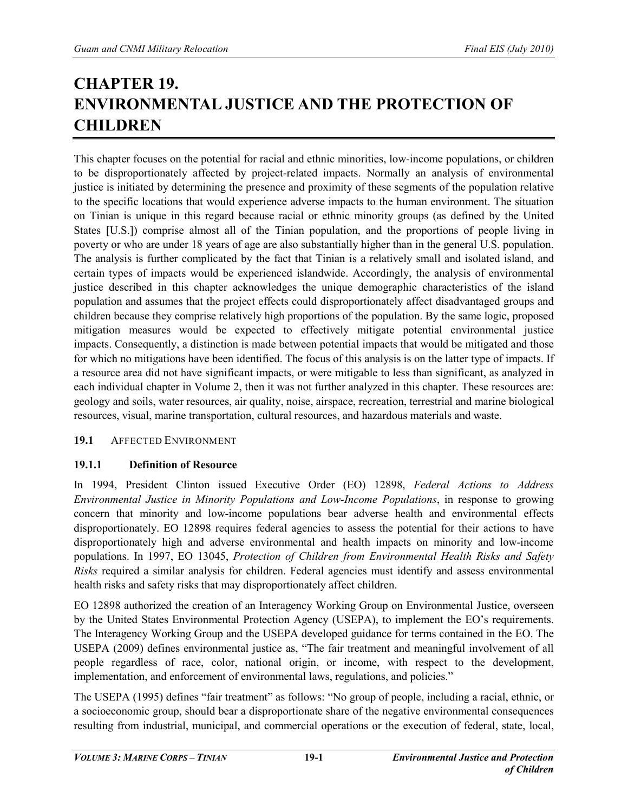# **CHAPTER 19. ENVIRONMENTAL JUSTICE AND THE PROTECTION OF CHILDREN**

This chapter focuses on the potential for racial and ethnic minorities, low-income populations, or children to be disproportionately affected by project-related impacts. Normally an analysis of environmental justice is initiated by determining the presence and proximity of these segments of the population relative to the specific locations that would experience adverse impacts to the human environment. The situation on Tinian is unique in this regard because racial or ethnic minority groups (as defined by the United States [U.S.]) comprise almost all of the Tinian population, and the proportions of people living in poverty or who are under 18 years of age are also substantially higher than in the general U.S. population. The analysis is further complicated by the fact that Tinian is a relatively small and isolated island, and certain types of impacts would be experienced islandwide. Accordingly, the analysis of environmental justice described in this chapter acknowledges the unique demographic characteristics of the island population and assumes that the project effects could disproportionately affect disadvantaged groups and children because they comprise relatively high proportions of the population. By the same logic, proposed mitigation measures would be expected to effectively mitigate potential environmental justice impacts. Consequently, a distinction is made between potential impacts that would be mitigated and those for which no mitigations have been identified. The focus of this analysis is on the latter type of impacts. If a resource area did not have significant impacts, or were mitigable to less than significant, as analyzed in each individual chapter in Volume 2, then it was not further analyzed in this chapter. These resources are: geology and soils, water resources, air quality, noise, airspace, recreation, terrestrial and marine biological resources, visual, marine transportation, cultural resources, and hazardous materials and waste.

# **19.1** AFFECTED ENVIRONMENT

# **19.1.1 Definition of Resource**

In 1994, President Clinton issued Executive Order (EO) 12898, *Federal Actions to Address Environmental Justice in Minority Populations and Low-Income Populations*, in response to growing concern that minority and low-income populations bear adverse health and environmental effects disproportionately. EO 12898 requires federal agencies to assess the potential for their actions to have disproportionately high and adverse environmental and health impacts on minority and low-income populations. In 1997, EO 13045, *Protection of Children from Environmental Health Risks and Safety Risks* required a similar analysis for children. Federal agencies must identify and assess environmental health risks and safety risks that may disproportionately affect children.

EO 12898 authorized the creation of an Interagency Working Group on Environmental Justice, overseen by the United States Environmental Protection Agency (USEPA), to implement the EO's requirements. The Interagency Working Group and the USEPA developed guidance for terms contained in the EO. The USEPA (2009) defines environmental justice as, "The fair treatment and meaningful involvement of all people regardless of race, color, national origin, or income, with respect to the development, implementation, and enforcement of environmental laws, regulations, and policies."

The USEPA (1995) defines "fair treatment" as follows: "No group of people, including a racial, ethnic, or a socioeconomic group, should bear a disproportionate share of the negative environmental consequences resulting from industrial, municipal, and commercial operations or the execution of federal, state, local,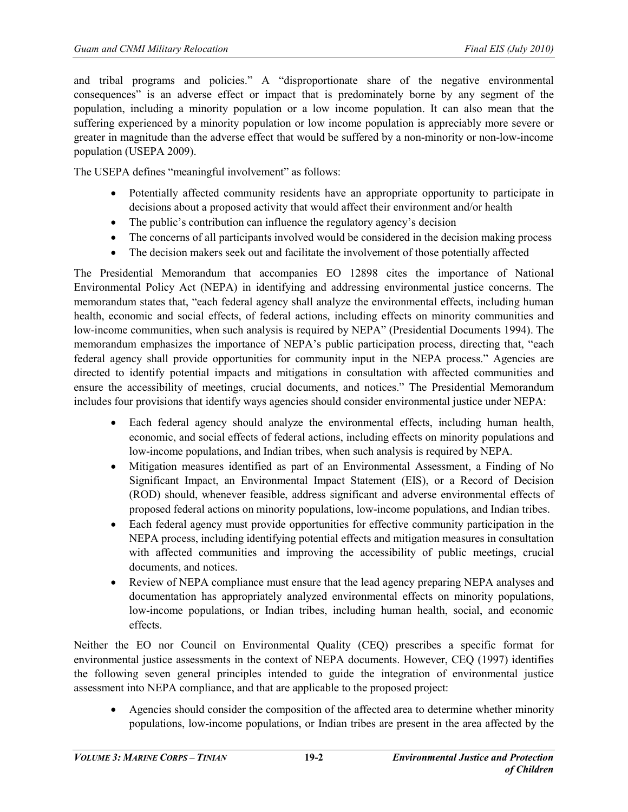and tribal programs and policies." A "disproportionate share of the negative environmental consequences" is an adverse effect or impact that is predominately borne by any segment of the population, including a minority population or a low income population. It can also mean that the suffering experienced by a minority population or low income population is appreciably more severe or greater in magnitude than the adverse effect that would be suffered by a non-minority or non-low-income population (USEPA 2009).

The USEPA defines "meaningful involvement" as follows:

- Potentially affected community residents have an appropriate opportunity to participate in decisions about a proposed activity that would affect their environment and/or health
- The public's contribution can influence the regulatory agency's decision
- The concerns of all participants involved would be considered in the decision making process
- The decision makers seek out and facilitate the involvement of those potentially affected

The Presidential Memorandum that accompanies EO 12898 cites the importance of National Environmental Policy Act (NEPA) in identifying and addressing environmental justice concerns. The memorandum states that, "each federal agency shall analyze the environmental effects, including human health, economic and social effects, of federal actions, including effects on minority communities and low-income communities, when such analysis is required by NEPA" (Presidential Documents 1994). The memorandum emphasizes the importance of NEPA's public participation process, directing that, "each federal agency shall provide opportunities for community input in the NEPA process." Agencies are directed to identify potential impacts and mitigations in consultation with affected communities and ensure the accessibility of meetings, crucial documents, and notices." The Presidential Memorandum includes four provisions that identify ways agencies should consider environmental justice under NEPA:

- Each federal agency should analyze the environmental effects, including human health, economic, and social effects of federal actions, including effects on minority populations and low-income populations, and Indian tribes, when such analysis is required by NEPA.
- Mitigation measures identified as part of an Environmental Assessment, a Finding of No Significant Impact, an Environmental Impact Statement (EIS), or a Record of Decision (ROD) should, whenever feasible, address significant and adverse environmental effects of proposed federal actions on minority populations, low-income populations, and Indian tribes.
- Each federal agency must provide opportunities for effective community participation in the NEPA process, including identifying potential effects and mitigation measures in consultation with affected communities and improving the accessibility of public meetings, crucial documents, and notices.
- Review of NEPA compliance must ensure that the lead agency preparing NEPA analyses and documentation has appropriately analyzed environmental effects on minority populations, low-income populations, or Indian tribes, including human health, social, and economic effects.

Neither the EO nor Council on Environmental Quality (CEQ) prescribes a specific format for environmental justice assessments in the context of NEPA documents. However, CEQ (1997) identifies the following seven general principles intended to guide the integration of environmental justice assessment into NEPA compliance, and that are applicable to the proposed project:

• Agencies should consider the composition of the affected area to determine whether minority populations, low-income populations, or Indian tribes are present in the area affected by the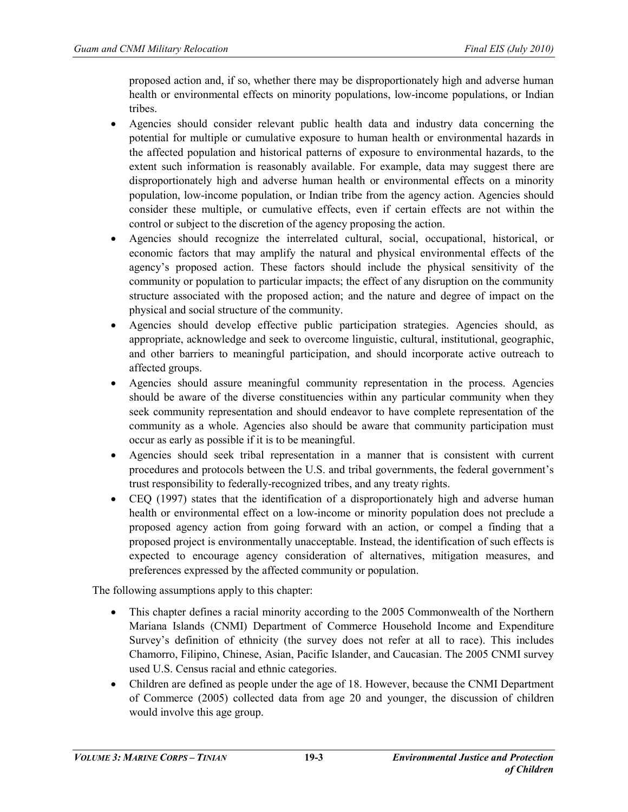proposed action and, if so, whether there may be disproportionately high and adverse human health or environmental effects on minority populations, low-income populations, or Indian tribes.

- Agencies should consider relevant public health data and industry data concerning the potential for multiple or cumulative exposure to human health or environmental hazards in the affected population and historical patterns of exposure to environmental hazards, to the extent such information is reasonably available. For example, data may suggest there are disproportionately high and adverse human health or environmental effects on a minority population, low-income population, or Indian tribe from the agency action. Agencies should consider these multiple, or cumulative effects, even if certain effects are not within the control or subject to the discretion of the agency proposing the action.
- Agencies should recognize the interrelated cultural, social, occupational, historical, or economic factors that may amplify the natural and physical environmental effects of the agency's proposed action. These factors should include the physical sensitivity of the community or population to particular impacts; the effect of any disruption on the community structure associated with the proposed action; and the nature and degree of impact on the physical and social structure of the community.
- Agencies should develop effective public participation strategies. Agencies should, as appropriate, acknowledge and seek to overcome linguistic, cultural, institutional, geographic, and other barriers to meaningful participation, and should incorporate active outreach to affected groups.
- Agencies should assure meaningful community representation in the process. Agencies should be aware of the diverse constituencies within any particular community when they seek community representation and should endeavor to have complete representation of the community as a whole. Agencies also should be aware that community participation must occur as early as possible if it is to be meaningful.
- Agencies should seek tribal representation in a manner that is consistent with current procedures and protocols between the U.S. and tribal governments, the federal government's trust responsibility to federally-recognized tribes, and any treaty rights.
- CEO (1997) states that the identification of a disproportionately high and adverse human health or environmental effect on a low-income or minority population does not preclude a proposed agency action from going forward with an action, or compel a finding that a proposed project is environmentally unacceptable. Instead, the identification of such effects is expected to encourage agency consideration of alternatives, mitigation measures, and preferences expressed by the affected community or population.

The following assumptions apply to this chapter:

- This chapter defines a racial minority according to the 2005 Commonwealth of the Northern Mariana Islands (CNMI) Department of Commerce Household Income and Expenditure Survey's definition of ethnicity (the survey does not refer at all to race). This includes Chamorro, Filipino, Chinese, Asian, Pacific Islander, and Caucasian. The 2005 CNMI survey used U.S. Census racial and ethnic categories.
- Children are defined as people under the age of 18. However, because the CNMI Department of Commerce (2005) collected data from age 20 and younger, the discussion of children would involve this age group.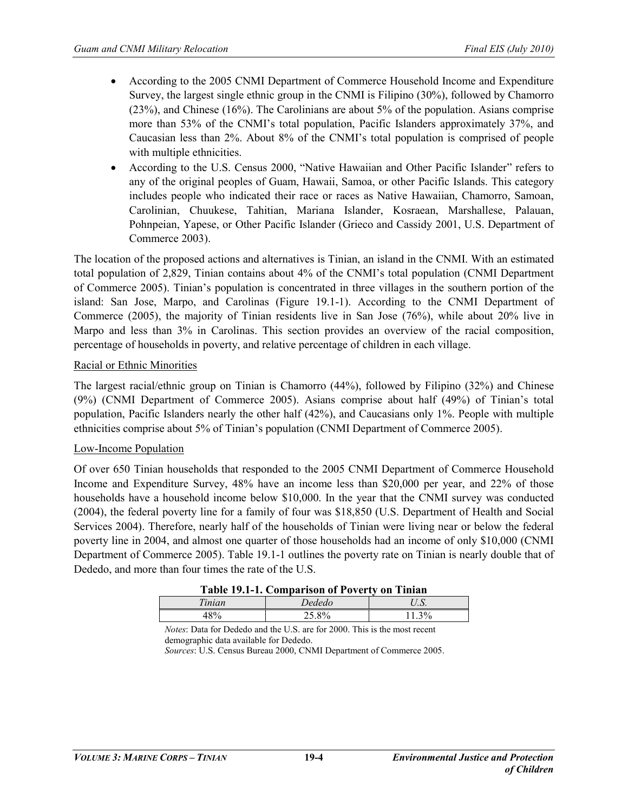- According to the 2005 CNMI Department of Commerce Household Income and Expenditure Survey, the largest single ethnic group in the CNMI is Filipino (30%), followed by Chamorro (23%), and Chinese (16%). The Carolinians are about 5% of the population. Asians comprise more than 53% of the CNMI's total population, Pacific Islanders approximately 37%, and Caucasian less than 2%. About 8% of the CNMI's total population is comprised of people with multiple ethnicities.
- According to the U.S. Census 2000, "Native Hawaiian and Other Pacific Islander" refers to any of the original peoples of Guam, Hawaii, Samoa, or other Pacific Islands. This category includes people who indicated their race or races as Native Hawaiian, Chamorro, Samoan, Carolinian, Chuukese, Tahitian, Mariana Islander, Kosraean, Marshallese, Palauan, Pohnpeian, Yapese, or Other Pacific Islander (Grieco and Cassidy 2001, U.S. Department of Commerce 2003).

The location of the proposed actions and alternatives is Tinian, an island in the CNMI. With an estimated total population of 2,829, Tinian contains about 4% of the CNMI's total population (CNMI Department of Commerce 2005). Tinian's population is concentrated in three villages in the southern portion of the island: San Jose, Marpo, and Carolinas (Figure 19.1-1). According to the CNMI Department of Commerce (2005), the majority of Tinian residents live in San Jose (76%), while about 20% live in Marpo and less than 3% in Carolinas. This section provides an overview of the racial composition, percentage of households in poverty, and relative percentage of children in each village.

# Racial or Ethnic Minorities

The largest racial/ethnic group on Tinian is Chamorro (44%), followed by Filipino (32%) and Chinese (9%) (CNMI Department of Commerce 2005). Asians comprise about half (49%) of Tinian's total population, Pacific Islanders nearly the other half (42%), and Caucasians only 1%. People with multiple ethnicities comprise about 5% of Tinian's population (CNMI Department of Commerce 2005).

## Low-Income Population

Of over 650 Tinian households that responded to the 2005 CNMI Department of Commerce Household Income and Expenditure Survey, 48% have an income less than \$20,000 per year, and 22% of those households have a household income below \$10,000. In the year that the CNMI survey was conducted (2004), the federal poverty line for a family of four was \$18,850 (U.S. Department of Health and Social Services 2004). Therefore, nearly half of the households of Tinian were living near or below the federal poverty line in 2004, and almost one quarter of those households had an income of only \$10,000 (CNMI Department of Commerce 2005). Table 19.1-1 outlines the poverty rate on Tinian is nearly double that of Dededo, and more than four times the rate of the U.S.

| Table 19.1-1. Comparison of Poverty on Tinian |        |          |  |
|-----------------------------------------------|--------|----------|--|
| Tinian                                        | Dededo |          |  |
| 48%                                           | 25.8%  | $11.3\%$ |  |

*Notes*: Data for Dededo and the U.S. are for 2000. This is the most recent demographic data available for Dededo.

*Sources*: U.S. Census Bureau 2000, CNMI Department of Commerce 2005.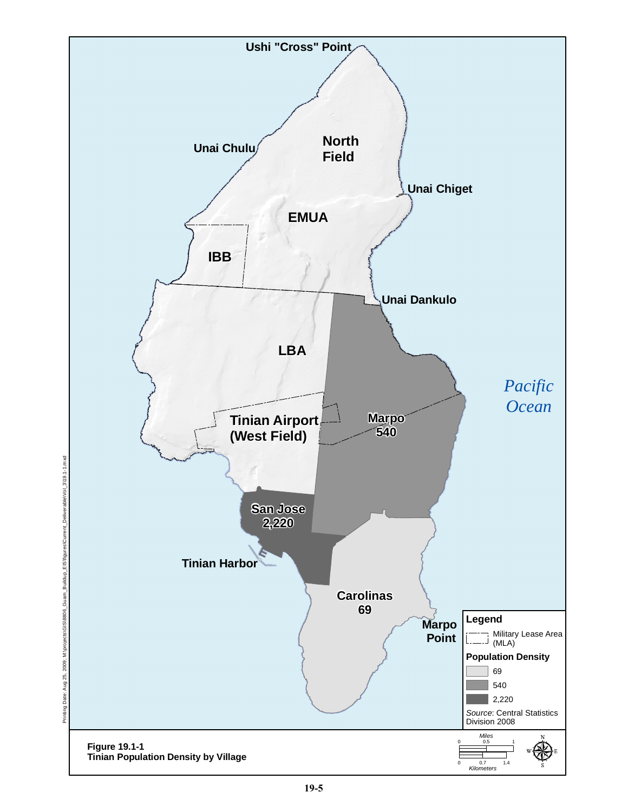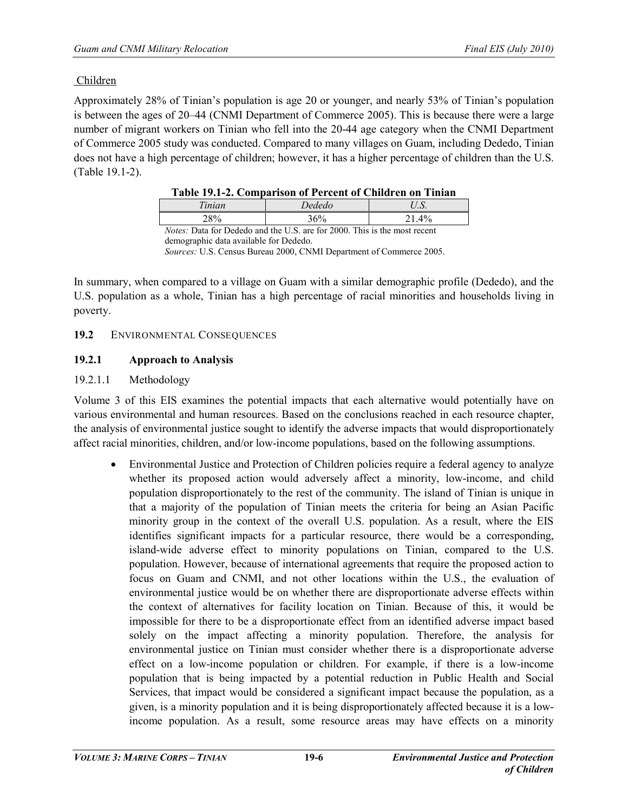# Children

Approximately 28% of Tinian's population is age 20 or younger, and nearly 53% of Tinian's population is between the ages of 20–44 (CNMI Department of Commerce 2005). This is because there were a large number of migrant workers on Tinian who fell into the 20-44 age category when the CNMI Department of Commerce 2005 study was conducted. Compared to many villages on Guam, including Dededo, Tinian does not have a high percentage of children; however, it has a higher percentage of children than the U.S. (Table 19.1-2).

| Table 19.1-2. Comparison of Percent of Children on Timian                        |  |  |  |
|----------------------------------------------------------------------------------|--|--|--|
| Dededo<br>Tinian<br>U.S.                                                         |  |  |  |
| <b>28%</b><br>36%<br>21.4%                                                       |  |  |  |
| <i>Notes:</i> Data for Dededo and the U.S. are for 2000. This is the most recent |  |  |  |

|  | Table 19.1-2. Comparison of Percent of Children on Tinian |  |  |  |
|--|-----------------------------------------------------------|--|--|--|
|--|-----------------------------------------------------------|--|--|--|

demographic data available for Dededo.

*Sources:* U.S. Census Bureau 2000, CNMI Department of Commerce 2005.

In summary, when compared to a village on Guam with a similar demographic profile (Dededo), and the U.S. population as a whole, Tinian has a high percentage of racial minorities and households living in poverty.

## **19.2** ENVIRONMENTAL CONSEQUENCES

## **19.2.1 Approach to Analysis**

## 19.2.1.1 Methodology

Volume 3 of this EIS examines the potential impacts that each alternative would potentially have on various environmental and human resources. Based on the conclusions reached in each resource chapter, the analysis of environmental justice sought to identify the adverse impacts that would disproportionately affect racial minorities, children, and/or low-income populations, based on the following assumptions.

• Environmental Justice and Protection of Children policies require a federal agency to analyze whether its proposed action would adversely affect a minority, low-income, and child population disproportionately to the rest of the community. The island of Tinian is unique in that a majority of the population of Tinian meets the criteria for being an Asian Pacific minority group in the context of the overall U.S. population. As a result, where the EIS identifies significant impacts for a particular resource, there would be a corresponding, island-wide adverse effect to minority populations on Tinian, compared to the U.S. population. However, because of international agreements that require the proposed action to focus on Guam and CNMI, and not other locations within the U.S., the evaluation of environmental justice would be on whether there are disproportionate adverse effects within the context of alternatives for facility location on Tinian. Because of this, it would be impossible for there to be a disproportionate effect from an identified adverse impact based solely on the impact affecting a minority population. Therefore, the analysis for environmental justice on Tinian must consider whether there is a disproportionate adverse effect on a low-income population or children. For example, if there is a low-income population that is being impacted by a potential reduction in Public Health and Social Services, that impact would be considered a significant impact because the population, as a given, is a minority population and it is being disproportionately affected because it is a lowincome population. As a result, some resource areas may have effects on a minority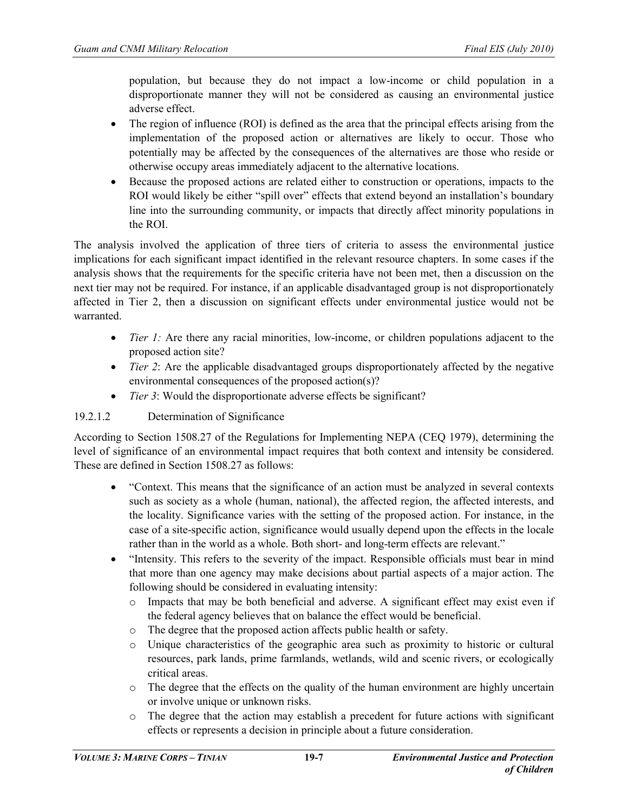population, but because they do not impact a low-income or child population in a disproportionate manner they will not be considered as causing an environmental justice adverse effect.

- The region of influence (ROI) is defined as the area that the principal effects arising from the implementation of the proposed action or alternatives are likely to occur. Those who potentially may be affected by the consequences of the alternatives are those who reside or otherwise occupy areas immediately adjacent to the alternative locations.
- Because the proposed actions are related either to construction or operations, impacts to the ROI would likely be either "spill over" effects that extend beyond an installation's boundary line into the surrounding community, or impacts that directly affect minority populations in the ROI.

The analysis involved the application of three tiers of criteria to assess the environmental justice implications for each significant impact identified in the relevant resource chapters. In some cases if the analysis shows that the requirements for the specific criteria have not been met, then a discussion on the next tier may not be required. For instance, if an applicable disadvantaged group is not disproportionately affected in Tier 2, then a discussion on significant effects under environmental justice would not be warranted.

- *Tier 1:* Are there any racial minorities, low-income, or children populations adjacent to the proposed action site?
- *Tier 2*: Are the applicable disadvantaged groups disproportionately affected by the negative environmental consequences of the proposed action(s)?
- *Tier 3*: Would the disproportionate adverse effects be significant?

# 19.2.1.2 Determination of Significance

According to Section 1508.27 of the Regulations for Implementing NEPA (CEQ 1979), determining the level of significance of an environmental impact requires that both context and intensity be considered. These are defined in Section 1508.27 as follows:

- "Context. This means that the significance of an action must be analyzed in several contexts such as society as a whole (human, national), the affected region, the affected interests, and the locality. Significance varies with the setting of the proposed action. For instance, in the case of a site-specific action, significance would usually depend upon the effects in the locale rather than in the world as a whole. Both short- and long-term effects are relevant."
- "Intensity. This refers to the severity of the impact. Responsible officials must bear in mind that more than one agency may make decisions about partial aspects of a major action. The following should be considered in evaluating intensity:
	- o Impacts that may be both beneficial and adverse. A significant effect may exist even if the federal agency believes that on balance the effect would be beneficial.
	- o The degree that the proposed action affects public health or safety.<br>  $\circ$  Unique characteristics of the geographic area such as proximity
	- Unique characteristics of the geographic area such as proximity to historic or cultural resources, park lands, prime farmlands, wetlands, wild and scenic rivers, or ecologically critical areas.
	- o The degree that the effects on the quality of the human environment are highly uncertain or involve unique or unknown risks.
	- o The degree that the action may establish a precedent for future actions with significant effects or represents a decision in principle about a future consideration.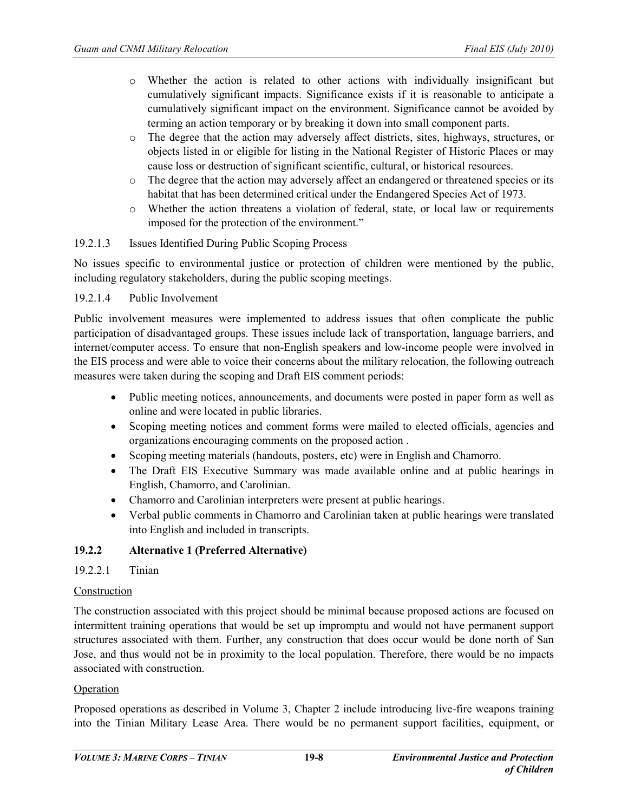- o Whether the action is related to other actions with individually insignificant but cumulatively significant impacts. Significance exists if it is reasonable to anticipate a cumulatively significant impact on the environment. Significance cannot be avoided by terming an action temporary or by breaking it down into small component parts.
- o The degree that the action may adversely affect districts, sites, highways, structures, or objects listed in or eligible for listing in the National Register of Historic Places or may cause loss or destruction of significant scientific, cultural, or historical resources.
- o The degree that the action may adversely affect an endangered or threatened species or its habitat that has been determined critical under the Endangered Species Act of 1973.
- o Whether the action threatens a violation of federal, state, or local law or requirements imposed for the protection of the environment."

## 19.2.1.3 Issues Identified During Public Scoping Process

No issues specific to environmental justice or protection of children were mentioned by the public, including regulatory stakeholders, during the public scoping meetings.

## 19.2.1.4 Public Involvement

Public involvement measures were implemented to address issues that often complicate the public participation of disadvantaged groups. These issues include lack of transportation, language barriers, and internet/computer access. To ensure that non-English speakers and low-income people were involved in the EIS process and were able to voice their concerns about the military relocation, the following outreach measures were taken during the scoping and Draft EIS comment periods:

- Public meeting notices, announcements, and documents were posted in paper form as well as online and were located in public libraries.
- Scoping meeting notices and comment forms were mailed to elected officials, agencies and organizations encouraging comments on the proposed action .
- Scoping meeting materials (handouts, posters, etc) were in English and Chamorro.
- The Draft EIS Executive Summary was made available online and at public hearings in English, Chamorro, and Carolinian.
- Chamorro and Carolinian interpreters were present at public hearings.
- Verbal public comments in Chamorro and Carolinian taken at public hearings were translated into English and included in transcripts.

## **19.2.2 Alternative 1 (Preferred Alternative)**

## 19.2.2.1 Tinian

## Construction

The construction associated with this project should be minimal because proposed actions are focused on intermittent training operations that would be set up impromptu and would not have permanent support structures associated with them. Further, any construction that does occur would be done north of San Jose, and thus would not be in proximity to the local population. Therefore, there would be no impacts associated with construction.

## Operation

Proposed operations as described in Volume 3, Chapter 2 include introducing live-fire weapons training into the Tinian Military Lease Area. There would be no permanent support facilities, equipment, or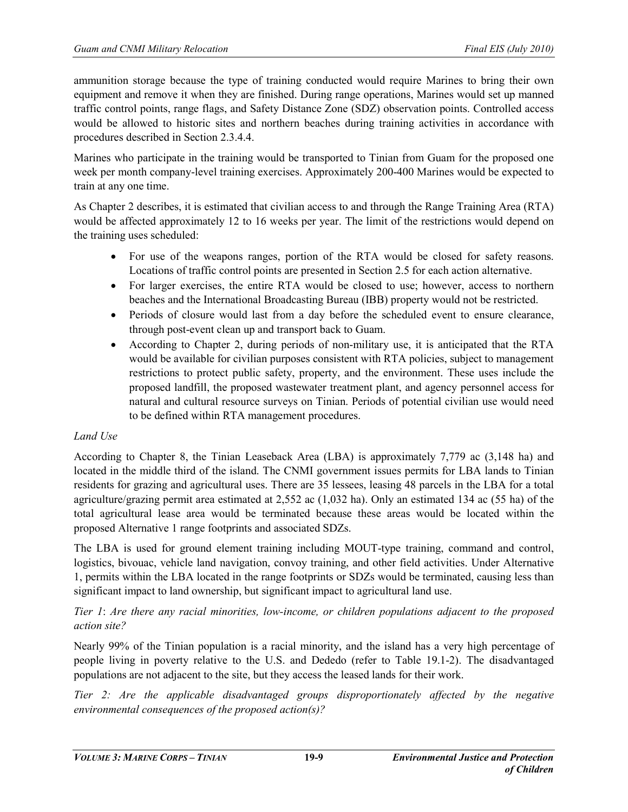ammunition storage because the type of training conducted would require Marines to bring their own equipment and remove it when they are finished. During range operations, Marines would set up manned traffic control points, range flags, and Safety Distance Zone (SDZ) observation points. Controlled access would be allowed to historic sites and northern beaches during training activities in accordance with procedures described in Section 2.3.4.4.

Marines who participate in the training would be transported to Tinian from Guam for the proposed one week per month company-level training exercises. Approximately 200-400 Marines would be expected to train at any one time.

As Chapter 2 describes, it is estimated that civilian access to and through the Range Training Area (RTA) would be affected approximately 12 to 16 weeks per year. The limit of the restrictions would depend on the training uses scheduled:

- For use of the weapons ranges, portion of the RTA would be closed for safety reasons. Locations of traffic control points are presented in Section 2.5 for each action alternative.
- For larger exercises, the entire RTA would be closed to use; however, access to northern beaches and the International Broadcasting Bureau (IBB) property would not be restricted.
- Periods of closure would last from a day before the scheduled event to ensure clearance, through post-event clean up and transport back to Guam.
- According to Chapter 2, during periods of non-military use, it is anticipated that the RTA would be available for civilian purposes consistent with RTA policies, subject to management restrictions to protect public safety, property, and the environment. These uses include the proposed landfill, the proposed wastewater treatment plant, and agency personnel access for natural and cultural resource surveys on Tinian. Periods of potential civilian use would need to be defined within RTA management procedures.

# *Land Use*

According to Chapter 8, the Tinian Leaseback Area (LBA) is approximately 7,779 ac (3,148 ha) and located in the middle third of the island. The CNMI government issues permits for LBA lands to Tinian residents for grazing and agricultural uses. There are 35 lessees, leasing 48 parcels in the LBA for a total agriculture/grazing permit area estimated at 2,552 ac (1,032 ha). Only an estimated 134 ac (55 ha) of the total agricultural lease area would be terminated because these areas would be located within the proposed Alternative 1 range footprints and associated SDZs.

The LBA is used for ground element training including MOUT-type training, command and control, logistics, bivouac, vehicle land navigation, convoy training, and other field activities. Under Alternative 1, permits within the LBA located in the range footprints or SDZs would be terminated, causing less than significant impact to land ownership, but significant impact to agricultural land use.

*Tier 1*: *Are there any racial minorities, low-income, or children populations adjacent to the proposed action site?*

Nearly 99% of the Tinian population is a racial minority, and the island has a very high percentage of people living in poverty relative to the U.S. and Dededo (refer to Table 19.1-2). The disadvantaged populations are not adjacent to the site, but they access the leased lands for their work.

*Tier 2: Are the applicable disadvantaged groups disproportionately affected by the negative environmental consequences of the proposed action(s)?*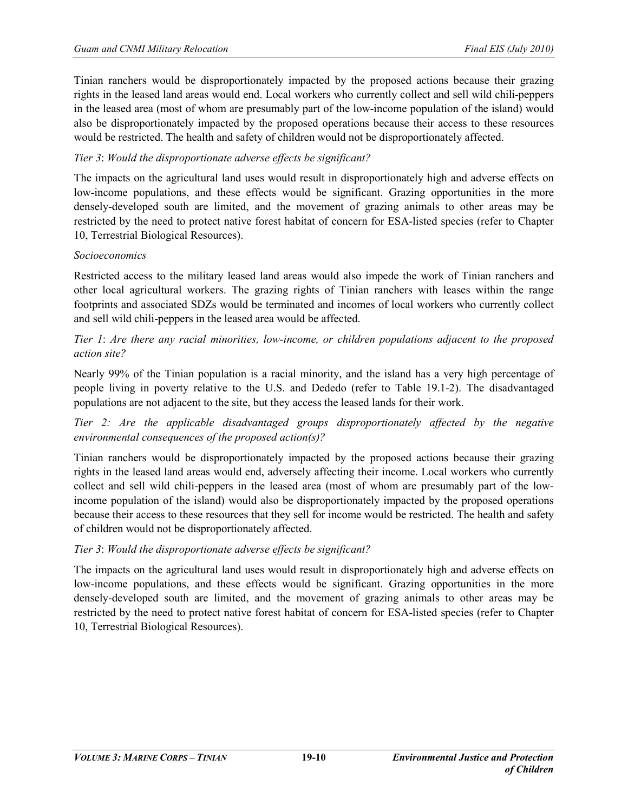Tinian ranchers would be disproportionately impacted by the proposed actions because their grazing rights in the leased land areas would end. Local workers who currently collect and sell wild chili-peppers in the leased area (most of whom are presumably part of the low-income population of the island) would also be disproportionately impacted by the proposed operations because their access to these resources would be restricted. The health and safety of children would not be disproportionately affected.

# *Tier 3*: *Would the disproportionate adverse effects be significant?*

The impacts on the agricultural land uses would result in disproportionately high and adverse effects on low-income populations, and these effects would be significant. Grazing opportunities in the more densely-developed south are limited, and the movement of grazing animals to other areas may be restricted by the need to protect native forest habitat of concern for ESA-listed species (refer to Chapter 10, Terrestrial Biological Resources).

## *Socioeconomics*

Restricted access to the military leased land areas would also impede the work of Tinian ranchers and other local agricultural workers. The grazing rights of Tinian ranchers with leases within the range footprints and associated SDZs would be terminated and incomes of local workers who currently collect and sell wild chili-peppers in the leased area would be affected.

*Tier 1*: *Are there any racial minorities, low-income, or children populations adjacent to the proposed action site?*

Nearly 99% of the Tinian population is a racial minority, and the island has a very high percentage of people living in poverty relative to the U.S. and Dededo (refer to Table 19.1-2). The disadvantaged populations are not adjacent to the site, but they access the leased lands for their work.

*Tier 2: Are the applicable disadvantaged groups disproportionately affected by the negative environmental consequences of the proposed action(s)?*

Tinian ranchers would be disproportionately impacted by the proposed actions because their grazing rights in the leased land areas would end, adversely affecting their income. Local workers who currently collect and sell wild chili-peppers in the leased area (most of whom are presumably part of the lowincome population of the island) would also be disproportionately impacted by the proposed operations because their access to these resources that they sell for income would be restricted. The health and safety of children would not be disproportionately affected.

## *Tier 3*: *Would the disproportionate adverse effects be significant?*

The impacts on the agricultural land uses would result in disproportionately high and adverse effects on low-income populations, and these effects would be significant. Grazing opportunities in the more densely-developed south are limited, and the movement of grazing animals to other areas may be restricted by the need to protect native forest habitat of concern for ESA-listed species (refer to Chapter 10, Terrestrial Biological Resources).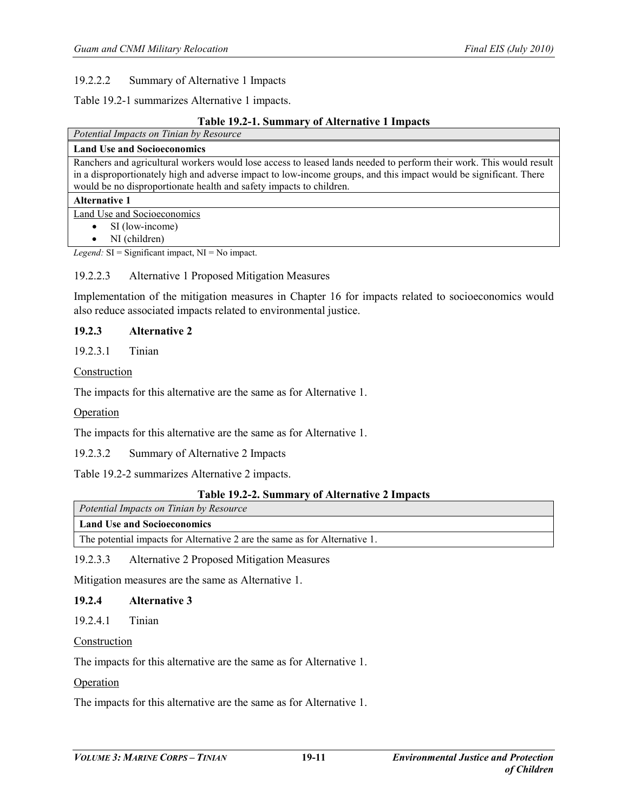## 19.2.2.2 Summary of Alternative 1 Impacts

Table 19.2-1 summarizes Alternative 1 impacts.

## **Table 19.2-1. Summary of Alternative 1 Impacts**

| Potential Impacts on Tinian by Resource                                                                             |
|---------------------------------------------------------------------------------------------------------------------|
| <b>Land Use and Socioeconomics</b>                                                                                  |
| Ranchers and agricultural workers would lose access to leased lands needed to perform their work. This would result |
| in a disproportionately high and adverse impact to low-income groups, and this impact would be significant. There   |
| would be no disproportionate health and safety impacts to children.                                                 |
| <b>Alternative 1</b>                                                                                                |
| Land Use and Socioeconomics                                                                                         |
| SI (low-income)<br>$\bullet$                                                                                        |
| NI (children)<br>$\bullet$                                                                                          |
|                                                                                                                     |

*Legend:* SI = Significant impact, NI = No impact.

## 19.2.2.3 Alternative 1 Proposed Mitigation Measures

Implementation of the mitigation measures in Chapter 16 for impacts related to socioeconomics would also reduce associated impacts related to environmental justice.

## **19.2.3 Alternative 2**

19.2.3.1 Tinian

Construction

The impacts for this alternative are the same as for Alternative 1.

Operation

The impacts for this alternative are the same as for Alternative 1.

19.2.3.2 Summary of Alternative 2 Impacts

Table 19.2-2 summarizes Alternative 2 impacts.

## **Table 19.2-2. Summary of Alternative 2 Impacts**

*Potential Impacts on Tinian by Resource*

### **Land Use and Socioeconomics**

The potential impacts for Alternative 2 are the same as for Alternative 1.

19.2.3.3 Alternative 2 Proposed Mitigation Measures

Mitigation measures are the same as Alternative 1.

## **19.2.4 Alternative 3**

19.2.4.1 Tinian

#### Construction

The impacts for this alternative are the same as for Alternative 1.

## **Operation**

The impacts for this alternative are the same as for Alternative 1.